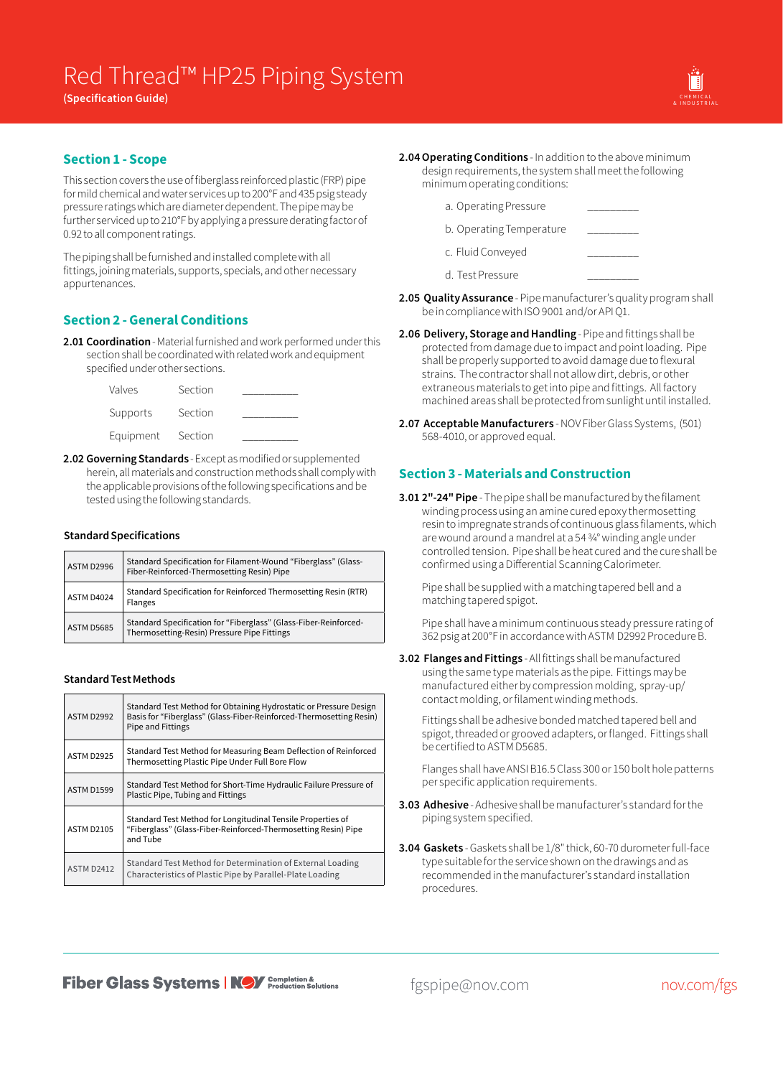**(Specification Guide)** 



## **Section 1 - Scope**

This section covers the use of fiberglass reinforced plastic (FRP) pipe for mild chemical and water services up to 200°F and 435 psig steady pressure ratings which are diameter dependent. The pipe may be further serviced up to 210°F by applying a pressure derating factor of 0.92 to all component ratings.

The piping shall be furnished and installed complete with all fittings, joining materials, supports, specials, and other necessary appurtenances.

# **Section 2 - General Conditions**

**2.01 Coordination** - Material furnished and work performed under this section shall be coordinated with related work and equipment specified under other sections.

| Valves    | Section |  |
|-----------|---------|--|
| Supports  | Section |  |
| Equipment | Section |  |

**2.02 Governing Standards** - Except as modified or supplemented herein, all materials and construction methods shall comply with the applicable provisions of the following specifications and be tested using the following standards.

### **Standard Specifications**

| ASTM D2996        | Standard Specification for Filament-Wound "Fiberglass" (Glass-<br>Fiber-Reinforced-Thermosetting Resin) Pipe    |
|-------------------|-----------------------------------------------------------------------------------------------------------------|
| ASTM D4024        | Standard Specification for Reinforced Thermosetting Resin (RTR)<br>Flanges                                      |
| <b>ASTM D5685</b> | Standard Specification for "Fiberglass" (Glass-Fiber-Reinforced-<br>Thermosetting-Resin) Pressure Pipe Fittings |

### **Standard Test Methods**

| ASTM D2992        | Standard Test Method for Obtaining Hydrostatic or Pressure Design<br>Basis for "Fiberglass" (Glass-Fiber-Reinforced-Thermosetting Resin)<br>Pipe and Fittings |
|-------------------|---------------------------------------------------------------------------------------------------------------------------------------------------------------|
| ASTM D2925        | Standard Test Method for Measuring Beam Deflection of Reinforced<br>Thermosetting Plastic Pipe Under Full Bore Flow                                           |
| <b>ASTM D1599</b> | Standard Test Method for Short-Time Hydraulic Failure Pressure of<br>Plastic Pipe, Tubing and Fittings                                                        |
| <b>ASTM D2105</b> | Standard Test Method for Longitudinal Tensile Properties of<br>"Fiberglass" (Glass-Fiber-Reinforced-Thermosetting Resin) Pipe<br>and Tube                     |
| <b>ASTM D2412</b> | Standard Test Method for Determination of External Loading<br>Characteristics of Plastic Pipe by Parallel-Plate Loading                                       |

- **2.04Operating Conditions** In addition to the above minimum design requirements, the system shall meet the following minimum operating conditions:
	- a. Operating Pressure
	- b. Operating Temperature

c. Fluid Conveyed

- d. Test Pressure
- **2.05 Quality Assurance** Pipe manufacturer's quality program shall be in compliance with ISO 9001 and/or API Q1.
- **2.06 Delivery, Storage and Handling** Pipe and fittings shall be protected from damage due to impact and point loading. Pipe shall be properly supported to avoid damage due to flexural strains. The contractor shall not allow dirt, debris, or other extraneous materials to get into pipe and fittings. All factory machined areas shall be protected from sunlight until installed.
- **2.07 Acceptable Manufacturers** NOV Fiber Glass Systems, (501) 568-4010, or approved equal.

## **Section 3 - Materials and Construction**

**3.01 2"-24" Pipe** - The pipe shall be manufactured by the filament winding process using an amine cured epoxy thermosetting resin to impregnate strands of continuous glass filaments, which are wound around a mandrel at a 54 3/4° winding angle under controlled tension. Pipe shall be heat cured and the cure shall be confirmed using a Differential Scanning Calorimeter.

Pipe shall be supplied with a matching tapered bell and a matching tapered spigot.

Pipe shall have a minimum continuous steady pressure rating of 362 psig at 200°F in accordance with ASTM D2992 Procedure B.

**3.02 Flanges and Fittings** - All fittings shall be manufactured using the same type materials as the pipe. Fittings may be manufactured either by compression molding, spray-up/ contact molding, or filament winding methods.

Fittings shall be adhesive bonded matched tapered bell and spigot, threaded or grooved adapters, or flanged. Fittings shall be certified to ASTM D5685.

Flanges shall have ANSI B16.5 Class 300 or 150 bolt hole patterns per specific application requirements.

- **3.03 Adhesive** Adhesive shall be manufacturer's standard for the piping system specified.
- **3.04 Gaskets** Gaskets shall be 1/8" thick, 60-70 durometer full-face type suitable for the service shown on the drawings and as recommended in the manufacturer's standard installation procedures.

**Fiber Glass Systems | NOV** Completion &

fgspipe@nov.com nov.com/fgs